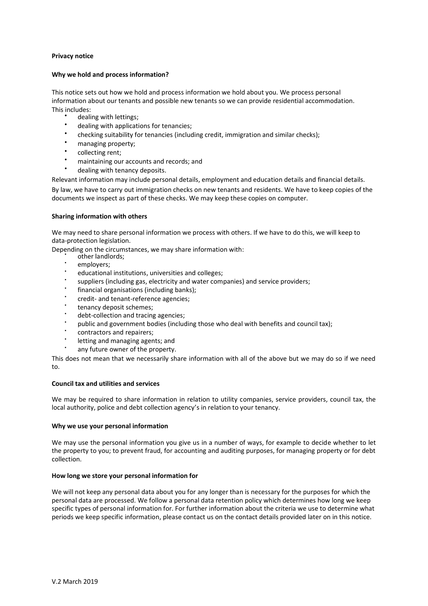# **Privacy notice**

## **Why we hold and process information?**

This notice sets out how we hold and process information we hold about you. We process personal information about our tenants and possible new tenants so we can provide residential accommodation. This includes:

- dealing with lettings;
- dealing with applications for tenancies;
- $\bullet$ checking suitability for tenancies (including credit, immigration and similar checks);
- managing property;
- $\bullet$ collecting rent;
- maintaining our accounts and records; and
- dealing with tenancy deposits.

Relevant information may include personal details, employment and education details and financial details.

By law, we have to carry out immigration checks on new tenants and residents. We have to keep copies of the documents we inspect as part of these checks. We may keep these copies on computer.

# **Sharing information with others**

We may need to share personal information we process with others. If we have to do this, we will keep to data-protection legislation.

Depending on the circumstances, we may share information with:

- other landlords;
- employers:
- educational institutions, universities and colleges;
- suppliers (including gas, electricity and water companies) and service providers;
- financial organisations (including banks);
- credit- and tenant-reference agencies;
- tenancy deposit schemes;
- debt-collection and tracing agencies;
- public and government bodies (including those who deal with benefits and council tax);
- contractors and repairers;
- letting and managing agents; and
- any future owner of the property.

This does not mean that we necessarily share information with all of the above but we may do so if we need to.

## **Council tax and utilities and services**

We may be required to share information in relation to utility companies, service providers, council tax, the local authority, police and debt collection agency's in relation to your tenancy.

## **Why we use your personal information**

We may use the personal information you give us in a number of ways, for example to decide whether to let the property to you; to prevent fraud, for accounting and auditing purposes, for managing property or for debt collection.

# **How long we store your personal information for**

We will not keep any personal data about you for any longer than is necessary for the purposes for which the personal data are processed. We follow a personal data retention policy which determines how long we keep specific types of personal information for. For further information about the criteria we use to determine what periods we keep specific information, please contact us on the contact details provided later on in this notice.